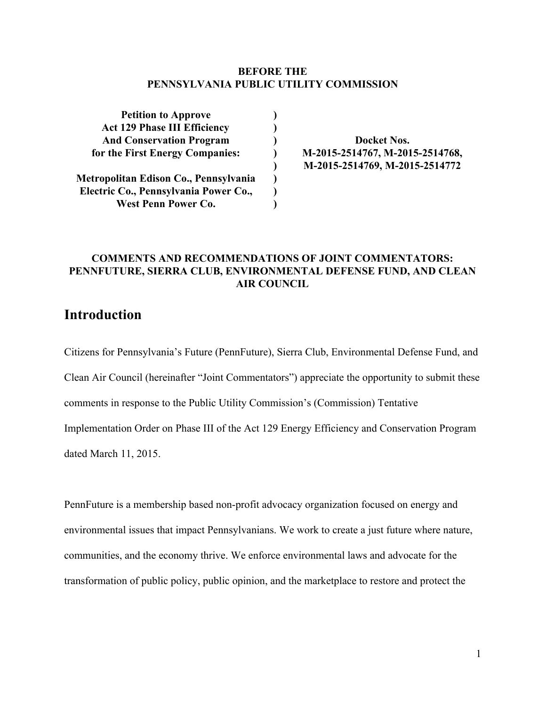#### **BEFORE THE PENNSYLVANIA PUBLIC UTILITY COMMISSION**

**) ) ) ) ) ) ) )**

| <b>Petition to Approve</b>            |
|---------------------------------------|
| <b>Act 129 Phase III Efficiency</b>   |
| <b>And Conservation Program</b>       |
| for the First Energy Companies:       |
| Metropolitan Edison Co., Pennsylvania |
| Electric Co., Pennsylvania Power Co., |

**West Penn Power Co.**

**Docket Nos. M20152514767, M20152514768, M20152514769, M20152514772**

#### **COMMENTS AND RECOMMENDATIONS OF JOINT COMMENTATORS: PENNFUTURE, SIERRA CLUB, ENVIRONMENTAL DEFENSE FUND, AND CLEAN AIR COUNCIL**

## **Introduction**

Citizens for Pennsylvania's Future (PennFuture), Sierra Club, Environmental Defense Fund, and Clean Air Council (hereinafter "Joint Commentators") appreciate the opportunity to submit these comments in response to the Public Utility Commission's (Commission) Tentative Implementation Order on Phase III of the Act 129 Energy Efficiency and Conservation Program dated March 11, 2015.

PennFuture is a membership based non-profit advocacy organization focused on energy and environmental issues that impact Pennsylvanians. We work to create a just future where nature, communities, and the economy thrive. We enforce environmental laws and advocate for the transformation of public policy, public opinion, and the marketplace to restore and protect the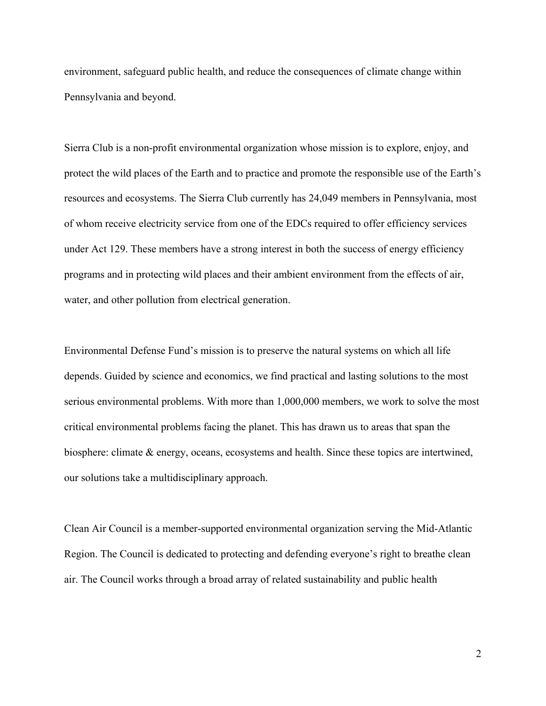environment, safeguard public health, and reduce the consequences of climate change within Pennsylvania and beyond.

Sierra Club is a non-profit environmental organization whose mission is to explore, enjoy, and protect the wild places of the Earth and to practice and promote the responsible use of the Earth's resources and ecosystems. The Sierra Club currently has 24,049 members in Pennsylvania, most of whom receive electricity service from one of the EDCs required to offer efficiency services under Act 129. These members have a strong interest in both the success of energy efficiency programs and in protecting wild places and their ambient environment from the effects of air, water, and other pollution from electrical generation.

Environmental Defense Fund's mission is to preserve the natural systems on which all life depends. Guided by science and economics, we find practical and lasting solutions to the most serious environmental problems. With more than 1,000,000 members, we work to solve the most critical environmental problems facing the planet. This has drawn us to areas that span the biosphere: climate & energy, oceans, ecosystems and health. Since these topics are intertwined, our solutions take a multidisciplinary approach.

Clean Air Council is a member-supported environmental organization serving the Mid-Atlantic Region. The Council is dedicated to protecting and defending everyone's right to breathe clean air. The Council works through a broad array of related sustainability and public health

2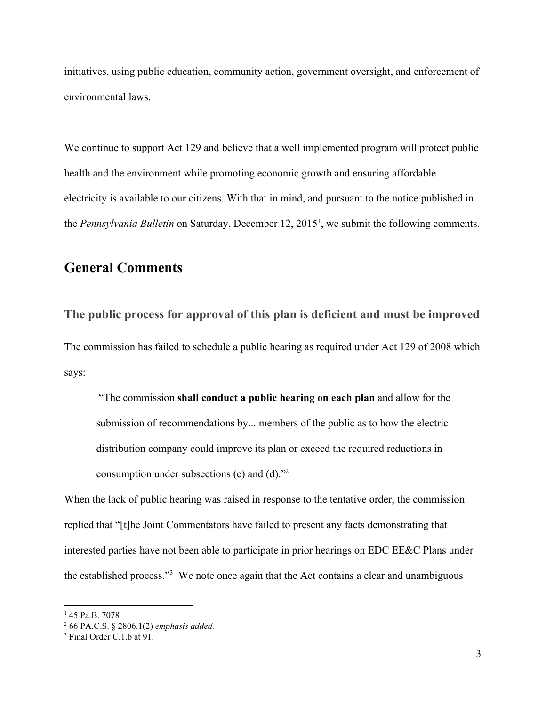initiatives, using public education, community action, government oversight, and enforcement of environmental laws.

We continue to support Act 129 and believe that a well implemented program will protect public health and the environment while promoting economic growth and ensuring affordable electricity is available to our citizens. With that in mind, and pursuant to the notice published in the *Pennsylvania Bulletin* on Saturday, December 12, 2015<sup>1</sup>, we submit the following comments.

## **General Comments**

**The public process for approval of this plan is deficient and must be improved** The commission has failed to schedule a public hearing as required under Act 129 of 2008 which says:

"The commission **shall conduct a public hearing on each plan**and allow for the submission of recommendations by... members of the public as to how the electric distribution company could improve its plan or exceed the required reductions in consumption under subsections (c) and (d)." 2

When the lack of public hearing was raised in response to the tentative order, the commission replied that "[t]he Joint Commentators have failed to present any facts demonstrating that interested parties have not been able to participate in prior hearings on EDC EE&C Plans under the established process."<sup>3</sup> We note once again that the Act contains a clear and unambiguous

<sup>&</sup>lt;sup>1</sup> 45 Pa.B. 7078

<sup>2</sup> 66 PA.C.S. § 2806.1(2) *emphasis added.*

<sup>&</sup>lt;sup>3</sup> Final Order C.1.b at 91.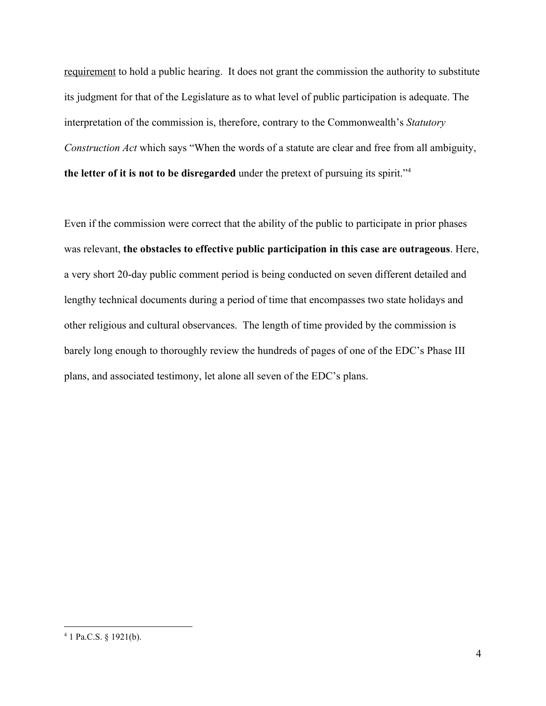requirement to hold a public hearing. It does not grant the commission the authority to substitute its judgment for that of the Legislature as to what level of public participation is adequate. The interpretation of the commission is, therefore, contrary to the Commonwealth's *Statutory Construction Act* which says "When the words of a statute are clear and free from all ambiguity, **the letter of it is not to be disregarded**under the pretext of pursuing its spirit." 4

Even if the commission were correct that the ability of the public to participate in prior phases was relevant, **the obstacles to effective public participation in this case are outrageous**. Here, a very short 20-day public comment period is being conducted on seven different detailed and lengthy technical documents during a period of time that encompasses two state holidays and other religious and cultural observances. The length of time provided by the commission is barely long enough to thoroughly review the hundreds of pages of one of the EDC's Phase III plans, and associated testimony, let alone all seven of the EDC's plans.

<sup>4</sup> 1 Pa.C.S. § 1921(b).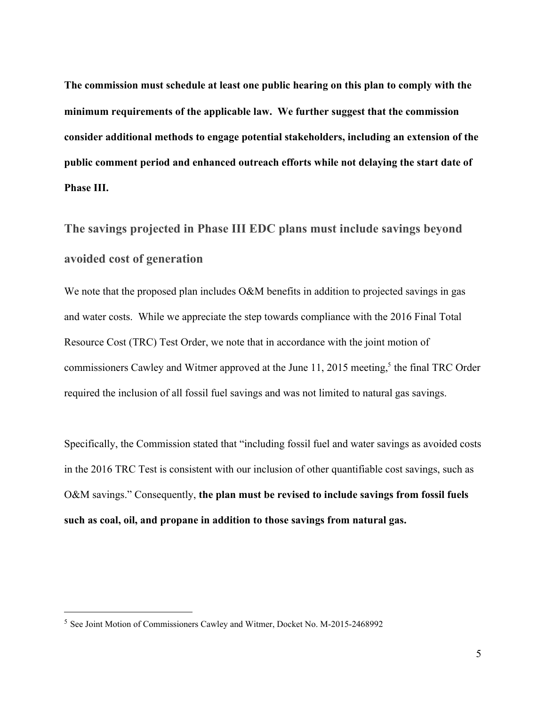**The commission must schedule at least one public hearing on this plan to comply with the minimum requirements of the applicable law. We further suggest that the commission consider additional methods to engage potential stakeholders, including an extension of the public comment period and enhanced outreach efforts while not delaying the start date of Phase III.**

# **The savings projected in Phase III EDC plans must include savings beyond avoided cost of generation**

We note that the proposed plan includes O&M benefits in addition to projected savings in gas and water costs. While we appreciate the step towards compliance with the 2016 Final Total Resource Cost (TRC) Test Order, we note that in accordance with the joint motion of commissioners Cawley and Witmer approved at the June 11, 2015 meeting,<sup>5</sup> the final TRC Order required the inclusion of all fossil fuel savings and was not limited to natural gas savings.

Specifically, the Commission stated that "including fossil fuel and water savings as avoided costs in the 2016 TRC Test is consistent with our inclusion of other quantifiable cost savings, such as O&M savings." Consequently, **the plan must be revised to include savings from fossil fuels such as coal, oil, and propane in addition to those savings from natural gas.**

<sup>&</sup>lt;sup>5</sup> See Joint Motion of Commissioners Cawley and Witmer, Docket No. M-2015-2468992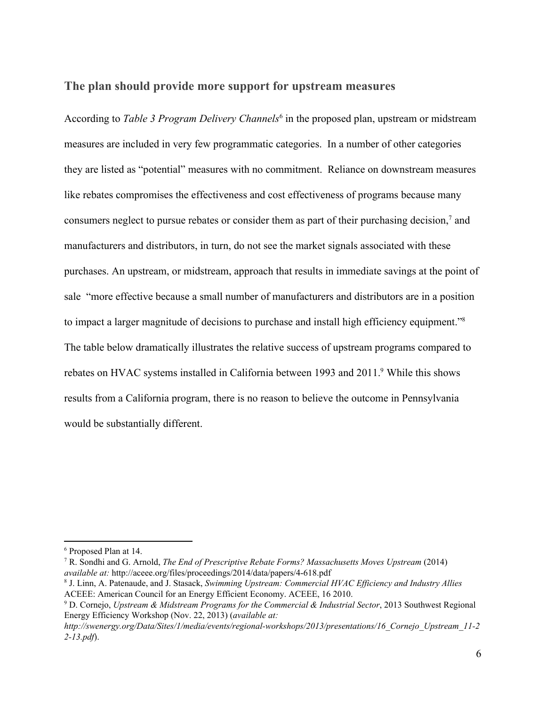### **The plan should provide more support for upstream measures**

According to *Table 3 Program Delivery Channels* 6 in the proposed plan, upstream or midstream measures are included in very few programmatic categories. In a number of other categories they are listed as "potential" measures with no commitment. Reliance on downstream measures like rebates compromises the effectiveness and cost effectiveness of programs because many consumers neglect to pursue rebates or consider them as part of their purchasing decision, $<sup>7</sup>$  and</sup> manufacturers and distributors, in turn, do not see the market signals associated with these purchases. An upstream, or midstream, approach that results in immediate savings at the point of sale "more effective because a small number of manufacturers and distributors are in a position to impact a larger magnitude of decisions to purchase and install high efficiency equipment."<sup>8</sup> The table below dramatically illustrates the relative success of upstream programs compared to rebates on HVAC systems installed in California between 1993 and 2011.<sup>9</sup> While this shows results from a California program, there is no reason to believe the outcome in Pennsylvania would be substantially different.

<sup>6</sup> Proposed Plan at 14.

<sup>7</sup> R. Sondhi and G. Arnold, *The End of Prescriptive Rebate Forms? Massachusetts Moves Upstream* (2014) *available at:* http://aceee.org/files/proceedings/2014/data/papers/4618.pdf

<sup>8</sup> J. Linn, A. Patenaude, and J. Stasack, *Swimming Upstream: Commercial HVAC Ef iciency and Industry Allies* ACEEE: American Council for an Energy Efficient Economy. ACEEE, 16 2010.

<sup>9</sup> D. Cornejo, *Upstream & Midstream Programs for the Commercial & Industrial Sector*, 2013 Southwest Regional Energy Efficiency Workshop (Nov. 22, 2013) (*available at:*

*http://swenergy.org/Data/Sites/1/media/events/regionalworkshops/2013/presentations/16\_Cornejo\_Upstream\_112 213.pdf*).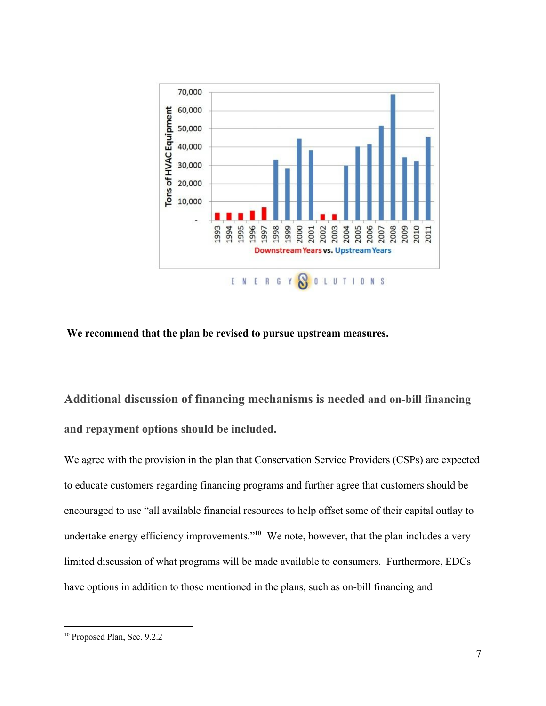

#### **We recommend that the plan be revised to pursue upstream measures.**

**Additional discussion of financing mechanisms is neededand onbill financing and repayment options should be included.**

We agree with the provision in the plan that Conservation Service Providers (CSPs) are expected to educate customers regarding financing programs and further agree that customers should be encouraged to use "all available financial resources to help offset some of their capital outlay to undertake energy efficiency improvements." $10$  We note, however, that the plan includes a very limited discussion of what programs will be made available to consumers. Furthermore, EDCs have options in addition to those mentioned in the plans, such as on-bill financing and

<sup>&</sup>lt;sup>10</sup> Proposed Plan, Sec. 9.2.2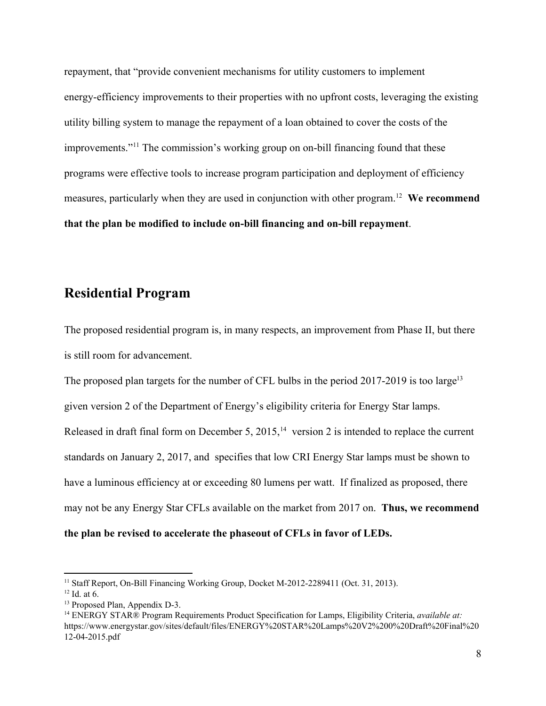repayment, that "provide convenient mechanisms for utility customers to implement energyefficiency improvements to their properties with no upfront costs, leveraging the existing utility billing system to manage the repayment of a loan obtained to cover the costs of the improvements."<sup>11</sup> The commission's working group on on-bill financing found that these programs were effective tools to increase program participation and deployment of efficiency measures, particularly when they are used in conjunction with other program.<sup>12</sup> We recommend **that** the plan be modified to include on-bill financing and on-bill repayment.

## **Residential Program**

The proposed residential program is, in many respects, an improvement from Phase II, but there is still room for advancement.

The proposed plan targets for the number of CFL bulbs in the period  $2017-2019$  is too large<sup>13</sup> given version 2 of the Department of Energy's eligibility criteria for Energy Star lamps. Released in draft final form on December 5, 2015,<sup>14</sup> version 2 is intended to replace the current standards on January 2, 2017, and specifies that low CRI Energy Star lamps must be shown to have a luminous efficiency at or exceeding 80 lumens per watt. If finalized as proposed, there may not be any Energy Star CFLs available on the market from 2017 on. **Thus, we recommend the plan be revised to accelerate the phaseout of CFLs in favor of LEDs.**

 $11$  Staff Report, On-Bill Financing Working Group, Docket M-2012-2289411 (Oct. 31, 2013).

 $12$  Id. at 6.

<sup>&</sup>lt;sup>13</sup> Proposed Plan, Appendix D-3.

<sup>14</sup> ENERGY STAR® Program Requirements Product Specification for Lamps, Eligibility Criteria, *available at:* https://www.energystar.gov/sites/default/files/ENERGY%20STAR%20Lamps%20V2%200%20Draft%20Final%20 12-04-2015.pdf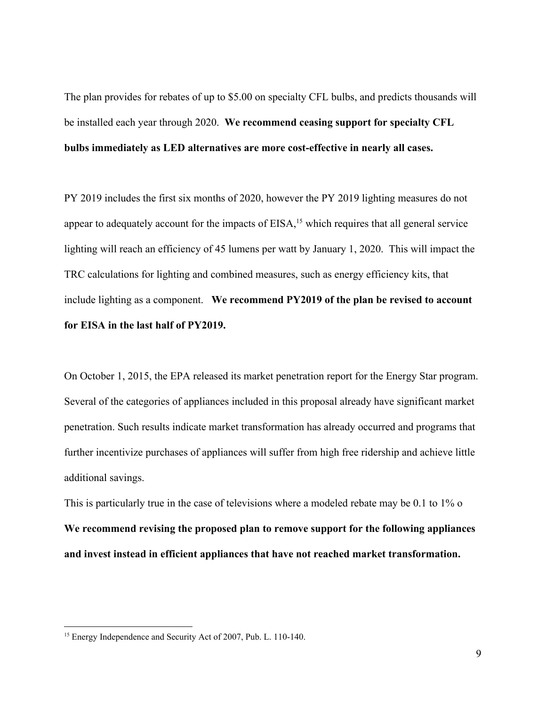The plan provides for rebates of up to \$5.00 on specialty CFL bulbs, and predicts thousands will be installed each year through 2020. **We recommend ceasing support for specialty CFL bulbs immediately as LED alternatives are more costeffective in nearly all cases.**

PY 2019 includes the first six months of 2020, however the PY 2019 lighting measures do not appear to adequately account for the impacts of  $EISA$ ,<sup>15</sup> which requires that all general service lighting will reach an efficiency of 45 lumens per watt by January 1, 2020. This will impact the TRC calculations for lighting and combined measures, such as energy efficiency kits, that include lighting as a component. **We recommend PY2019 of the plan be revised to account for EISA in the last half of PY2019.**

On October 1, 2015, the EPA released its market penetration report for the Energy Star program. Several of the categories of appliances included in this proposal already have significant market penetration. Such results indicate market transformation has already occurred and programs that further incentivize purchases of appliances will suffer from high free ridership and achieve little additional savings.

This is particularly true in the case of televisions where a modeled rebate may be 0.1 to 1% o **We recommend revising the proposed plan to remove support for the following appliances and invest instead in efficient appliances that have not reached market transformation.**

<sup>&</sup>lt;sup>15</sup> Energy Independence and Security Act of 2007, Pub. L. 110-140.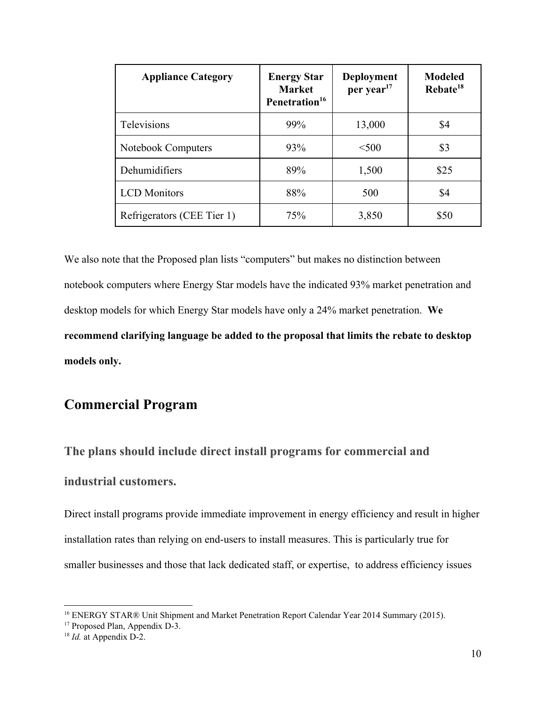| <b>Appliance Category</b>  | <b>Energy Star</b><br><b>Market</b><br>Penetration <sup>16</sup> | <b>Deployment</b><br>per year <sup>17</sup> | <b>Modeled</b><br>Rebate <sup>18</sup> |
|----------------------------|------------------------------------------------------------------|---------------------------------------------|----------------------------------------|
| Televisions                | 99%                                                              | 13,000                                      | \$4                                    |
| Notebook Computers         | 93%                                                              | < 500                                       | \$3                                    |
| Dehumidifiers              | 89%                                                              | 1,500                                       | \$25                                   |
| <b>LCD</b> Monitors        | 88%                                                              | 500                                         | \$4                                    |
| Refrigerators (CEE Tier 1) | 75%                                                              | 3,850                                       | \$50                                   |

We also note that the Proposed plan lists "computers" but makes no distinction between notebook computers where Energy Star models have the indicated 93% market penetration and desktop models for which Energy Star models have only a 24% market penetration. **We recommend clarifying language be added to the proposal that limits the rebate to desktop models only.**

## **Commercial Program**

**The plans should include direct install programs for commercial and industrial customers.**

Direct install programs provide immediate improvement in energy efficiency and result in higher installation rates than relying on end-users to install measures. This is particularly true for smaller businesses and those that lack dedicated staff, or expertise, to address efficiency issues

<sup>16</sup> ENERGY STAR® Unit Shipment and Market Penetration Report Calendar Year 2014 Summary (2015).

<sup>&</sup>lt;sup>17</sup> Proposed Plan, Appendix D-3.

<sup>&</sup>lt;sup>18</sup> *Id.* at Appendix D-2.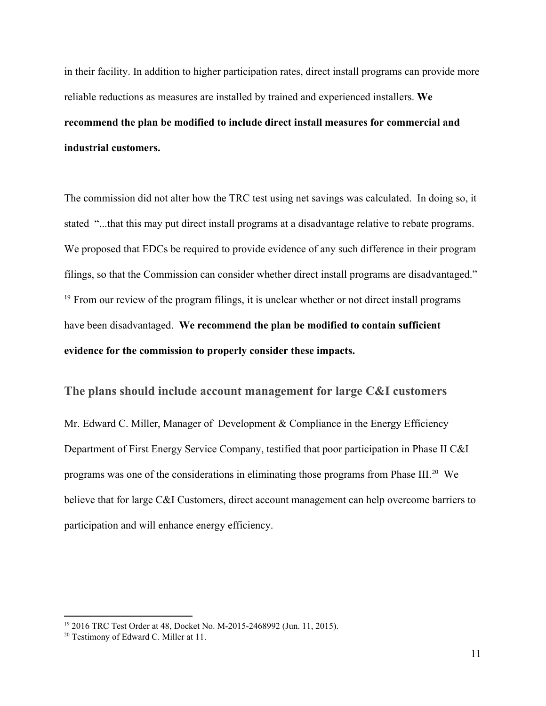in their facility. In addition to higher participation rates, direct install programs can provide more reliable reductions as measures are installed by trained and experienced installers. **We recommend the plan be modified to include direct install measures for commercial and industrial customers.**

The commission did not alter how the TRC test using net savings was calculated. In doing so, it stated "...that this may put direct install programs at a disadvantage relative to rebate programs. We proposed that EDCs be required to provide evidence of any such difference in their program filings, so that the Commission can consider whether direct install programs are disadvantaged."  $19$  From our review of the program filings, it is unclear whether or not direct install programs have been disadvantaged. **We recommend the plan be modified to contain sufficient evidence for the commission to properly consider these impacts.**

### **The plans should include account management for large C&I customers**

Mr. Edward C. Miller, Manager of Development & Compliance in the Energy Efficiency Department of First Energy Service Company, testified that poor participation in Phase II C&I programs was one of the considerations in eliminating those programs from Phase III. $^{20}$  We believe that for large C&I Customers, direct account management can help overcome barriers to participation and will enhance energy efficiency.

<sup>&</sup>lt;sup>19</sup> 2016 TRC Test Order at 48, Docket No. M-2015-2468992 (Jun. 11, 2015).

<sup>20</sup> Testimony of Edward C. Miller at 11.